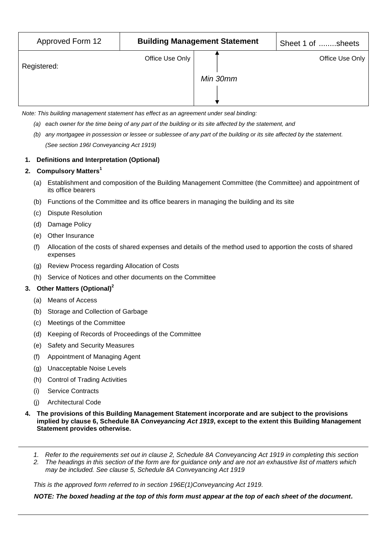| Approved Form 12 | <b>Building Management Statement</b> |          | Sheet 1 of sheets |
|------------------|--------------------------------------|----------|-------------------|
| Registered:      | Office Use Only                      | Min 30mm | Office Use Only   |

*Note: This building management statement has effect as an agreement under seal binding:*

- *(a) each owner for the time being of any part of the building or its site affected by the statement, and*
- *(b) any mortgagee in possession or lessee or sublessee of any part of the building or its site affected by the statement. (See section 196I Conveyancing Act 1919)*

## **1. Definitions and Interpretation (Optional)**

## **2. Compulsory Matters<sup>1</sup>**

- (a) Establishment and composition of the Building Management Committee (the Committee) and appointment of its office bearers
- (b) Functions of the Committee and its office bearers in managing the building and its site
- (c) Dispute Resolution
- (d) Damage Policy
- (e) Other Insurance
- (f) Allocation of the costs of shared expenses and details of the method used to apportion the costs of shared expenses
- (g) Review Process regarding Allocation of Costs
- (h) Service of Notices and other documents on the Committee

## **3. Other Matters (Optional)<sup>2</sup>**

- (a) Means of Access
- (b) Storage and Collection of Garbage
- (c) Meetings of the Committee
- (d) Keeping of Records of Proceedings of the Committee
- (e) Safety and Security Measures
- (f) Appointment of Managing Agent
- (g) Unacceptable Noise Levels
- (h) Control of Trading Activities
- (i) Service Contracts
- (j) Architectural Code
- **4. The provisions of this Building Management Statement incorporate and are subject to the provisions implied by clause 6, Schedule 8A** *Conveyancing Act 1919***, except to the extent this Building Management Statement provides otherwise.**
	- *1. Refer to the requirements set out in clause 2, Schedule 8A Conveyancing Act 1919 in completing this section*
	- *2. The headings in this section of the form are for guidance only and are not an exhaustive list of matters which may be included. See clause 5, Schedule 8A Conveyancing Act 1919*

*This is the approved form referred to in section 196E(1)Conveyancing Act 1919.*

*NOTE: The boxed heading at the top of this form must appear at the top of each sheet of the document.*